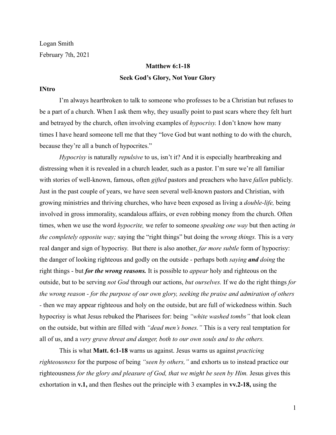Logan Smith February 7th, 2021

# **Matthew 6:1-18 Seek God's Glory, Not Your Glory**

### **INtro**

I'm always heartbroken to talk to someone who professes to be a Christian but refuses to be a part of a church. When I ask them why, they usually point to past scars where they felt hurt and betrayed by the church, often involving examples of *hypocrisy.* I don't know how many times I have heard someone tell me that they "love God but want nothing to do with the church, because they're all a bunch of hypocrites."

*Hypocrisy* is naturally *repulsive* to us, isn't it? And it is especially heartbreaking and distressing when it is revealed in a church leader, such as a pastor. I'm sure we're all familiar with stories of well-known, famous, often *gifted* pastors and preachers who have *fallen* publicly. Just in the past couple of years, we have seen several well-known pastors and Christian, with growing ministries and thriving churches, who have been exposed as living a *double-life,* being involved in gross immorality, scandalous affairs, or even robbing money from the church. Often times, when we use the word *hypocrite,* we refer to someone *speaking one way* but then acting *in the completely opposite way;* saying the "right things" but doing the *wrong things.* This is a very real danger and sign of hypocrisy. But there is also another, *far more subtle* form of hypocrisy: the danger of looking righteous and godly on the outside - perhaps both *saying and doing* the right things - but *for the wrong reasons.* It is possible to *appear* holy and righteous on the outside, but to be serving *not God* through our actions, *but ourselves.* If we do the right things *for the wrong reason - for the purpose of our own glory, seeking the praise and admiration of others -* then we may appear righteous and holy on the outside, but are full of wickedness within. Such hypocrisy is what Jesus rebuked the Pharisees for: being *"white washed tombs"* that look clean on the outside, but within are filled with *"dead men's bones."* This is a very real temptation for all of us, and a *very grave threat and danger, both to our own souls and to the others.*

This is what **Matt. 6:1-18** warns us against. Jesus warns us against *practicing righteousness* for the purpose of being *"seen by others,"* and exhorts us to instead practice our righteousness *for the glory and pleasure of God, that we might be seen by Him.* Jesus gives this exhortation in **v.1,** and then fleshes out the principle with 3 examples in **vv.2-18,** using the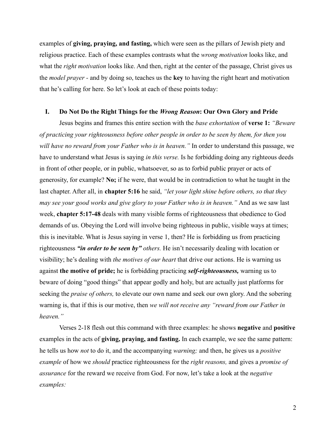examples of **giving, praying, and fasting,** which were seen as the pillars of Jewish piety and religious practice. Each of these examples contrasts what the *wrong motivation* looks like, and what the *right motivation* looks like. And then, right at the center of the passage, Christ gives us the *model prayer -* and by doing so, teaches us the **key** to having the right heart and motivation that he's calling for here. So let's look at each of these points today:

# **I. Do Not Do the Right Things for the** *Wrong Reason***: Our Own Glory and Pride**

Jesus begins and frames this entire section with the *base exhortation* of **verse 1:** *"Beware of practicing your righteousness before other people in order to be seen by them, for then you will have no reward from your Father who is in heaven."* In order to understand this passage, we have to understand what Jesus is saying *in this verse.* Is he forbidding doing any righteous deeds in front of other people, or in public, whatsoever, so as to forbid public prayer or acts of generosity, for example? **No;** if he were, that would be in contradiction to what he taught in the last chapter. After all, in **chapter 5:16** he said, *"let your light shine before others, so that they may see your good works and give glory to your Father who is in heaven."* And as we saw last week, **chapter 5:17-48** deals with many visible forms of righteousness that obedience to God demands of us. Obeying the Lord will involve being righteous in public, visible ways at times; this is inevitable. What is Jesus saying in verse 1, then? He is forbidding us from practicing righteousness *"in order to be seen by" others.* He isn't necessarily dealing with location or visibility; he's dealing with *the motives of our heart* that drive our actions. He is warning us against **the motive of pride;** he is forbidding practicing *self-righteousness,* warning us to beware of doing "good things" that appear godly and holy, but are actually just platforms for seeking the *praise of others,* to elevate our own name and seek our own glory. And the sobering warning is, that if this is our motive, then *we will not receive any "reward from our Father in heaven."*

Verses 2-18 flesh out this command with three examples: he shows **negative** and **positive** examples in the acts of **giving, praying, and fasting.** In each example, we see the same pattern: he tells us how *not* to do it, and the accompanying *warning;* and then, he gives us a *positive example* of how we *should* practice righteousness for the *right reasons,* and gives a *promise of assurance* for the reward we receive from God. For now, let's take a look at the *negative examples:*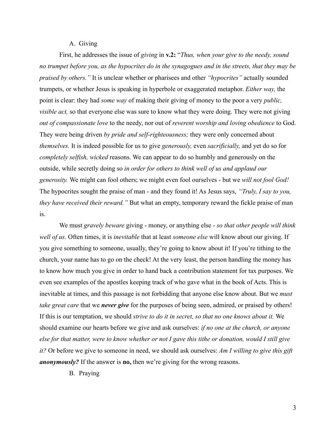## A. Giving

First, he addresses the issue of *giving* in **v.2:** "*Thus, when your give to the needy, sound no trumpet before you, as the hypocrites do in the synagogues and in the streets, that they may be praised by others."* It is unclear whether or pharisees and other *"hypocrites"* actually sounded trumpets, or whether Jesus is speaking in hyperbole or exaggerated metaphor. *Either way,* the point is clear: they had *some way* of making their giving of money to the poor a very *public, visible act,* so that everyone else was sure to know what they were doing. They were not giving *out of compassionate love* to the needy, nor out of *reverent worship and loving obedience* to God. They were being driven *by pride and self-righteousness;* they were only concerned about *themselves.* It is indeed possible for us to give *generously,* even *sacrificially,* and yet do so for *completely selfish, wicked* reasons. We can appear to do so humbly and generously on the outside, while secretly doing so *in order for others to think well of us and applaud our generosity.* We might can fool others; we might even fool ourselves - but we *will not fool God!* The hypocrites sought the praise of man - and they found it! As Jesus says, *"Truly, I say to you, they have received their reward."* But what an empty, temporary reward the fickle praise of man is.

We must *gravely beware* giving - money, or anything else - *so that other people will think well of us.* Often times, it is *inevitable* that at least *someone else* will know about our giving. If you give something to someone, usually, they're going to know about it! If you're tithing to the church, your name has to go on the check! At the very least, the person handling the money has to know how much you give in order to hand back a contribution statement for tax purposes. We even see examples of the apostles keeping track of who gave what in the book of Acts. This is inevitable at times, and this passage is not forbidding that anyone else know about. But we *must take great care* that we *never give* for the purposes of being seen, admired, or praised by others! If this is our temptation, we should *strive to do it in secret, so that no one knows about it.* We should examine our hearts before we give and ask ourselves: *if no one at the church, or anyone else for that matter, were to know whether or not I gave this tithe or donation, would I still give it?* Or before we give to someone in need, we should ask ourselves: *Am I willing to give this gift anonymously?* If the answer is **no,** then we're giving for the wrong reasons.

B. Praying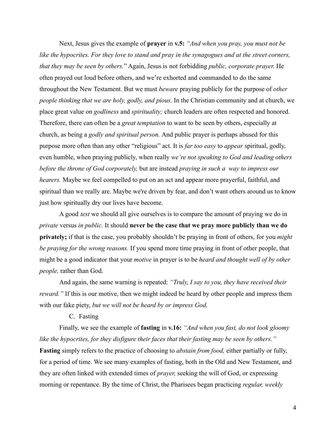Next, Jesus gives the example of **prayer** in **v.5:** *"And when you pray, you must not be like the hypocrites. For they love to stand and pray in the synagogues and at the street corners, that they may be seen by others.*" Again, Jesus is not forbidding *public, corporate prayer.* He often prayed out loud before others, and we're exhorted and commanded to do the same throughout the New Testament. But we must *beware* praying publicly for the purpose of *other people thinking that we are holy, godly, and pious.* In the Christian community and at church, we place great value on *godliness* and *spirituality;* church leaders are often respected and honored. Therefore, there can often be a *great temptation* to want to be seen by others, especially at church, as being a *godly and spiritual person.* And public prayer is perhaps abused for this purpose more often than any other "religious" act. It is *far too easy* to *appear* spiritual, godly, even humble, when praying publicly, when really *we're not speaking to God and leading others before the throne of God corporately,* but are instead *praying in such a way to impress our hearers.* Maybe we feel compelled to put on an act and appear more prayerful, faithful, and spiritual than we really are. Maybe we're driven by fear, and don't want others around us to know just how spiritually dry our lives have become.

A good *test* we should all give ourselves is to compare the amount of praying we do in *private* versus *in public.* It should **never be the case that we pray more publicly than we do privately;** if that is the case, you probably shouldn't be praying in front of others, for you *might be praying for the wrong reasons.* If you spend more time praying in front of other people, that might be a good indicator that your *motive* in prayer is to be *heard and thought well of by other people,* rather than God.

And again, the same warning is repeated: *"Truly, I say to you, they have received their reward.*" If this is our motive, then we might indeed be heard by other people and impress them with our fake piety, *but we will not be heard by or impress God.*

C. Fasting

Finally, we see the example of **fasting** in **v.16:** *"And when you fast, do not look gloomy like the hypocrites, for they disfigure their faces that their fasting may be seen by others."* **Fasting** simply refers to the practice of choosing to *abstain from food,* either partially or fully, for a period of time. We see many examples of fasting, both in the Old and New Testament, and they are often linked with extended times of *prayer,* seeking the will of God, or expressing morning or repentance. By the time of Christ, the Pharisees began practicing *regular, weekly*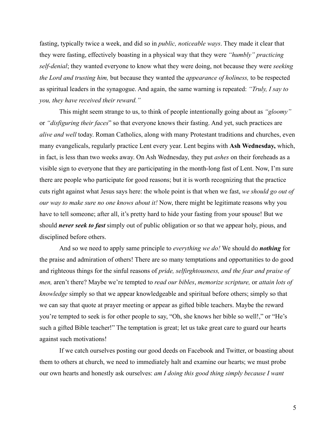fasting, typically twice a week, and did so in *public, noticeable ways*. They made it clear that they were fasting, effectively boasting in a physical way that they were *"humbly" practicing self-denial*; they wanted everyone to know what they were doing, not because they were *seeking the Lord and trusting him,* but because they wanted the *appearance of holiness,* to be respected as spiritual leaders in the synagogue. And again, the same warning is repeated: *"Truly, I say to you, they have received their reward."*

This might seem strange to us, to think of people intentionally going about as *"gloomy"* or *"disfiguring their faces*" so that everyone knows their fasting. And yet, such practices are *alive and well* today. Roman Catholics, along with many Protestant traditions and churches, even many evangelicals, regularly practice Lent every year. Lent begins with **Ash Wednesday,** which, in fact, is less than two weeks away. On Ash Wednesday, they put *ashes* on their foreheads as a visible sign to everyone that they are participating in the month-long fast of Lent. Now, I'm sure there are people who participate for good reasons; but it is worth recognizing that the practice cuts right against what Jesus says here: the whole point is that when we fast, *we should go out of our way to make sure no one knows about it!* Now, there might be legitimate reasons why you have to tell someone; after all, it's pretty hard to hide your fasting from your spouse! But we should *never seek to fast* simply out of public obligation or so that we appear holy, pious, and disciplined before others.

And so we need to apply same principle to *everything we do!* We should do *nothing* for the praise and admiration of others! There are so many temptations and opportunities to do good and righteous things for the sinful reasons of *pride, selfirghtousness, and the fear and praise of men,* aren't there? Maybe we're tempted to *read our bibles*, *memorize scripture,* or *attain lots of knowledge* simply so that we appear knowledgeable and spiritual before others; simply so that we can say that quote at prayer meeting or appear as gifted bible teachers. Maybe the reward you're tempted to seek is for other people to say, "Oh, she knows her bible so well!," or "He's such a gifted Bible teacher!" The temptation is great; let us take great care to guard our hearts against such motivations!

If we catch ourselves posting our good deeds on Facebook and Twitter, or boasting about them to others at church, we need to immediately halt and examine our hearts; we must probe our own hearts and honestly ask ourselves: *am I doing this good thing simply because I want*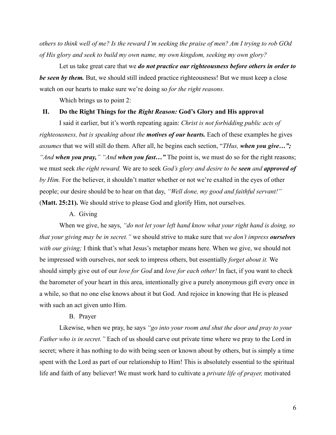*others to think well of me? Is the reward I'm seeking the praise of men? Am I trying to rob GOd of His glory and seek to build my own name, my own kingdom, seeking my own glory?*

Let us take great care that we *do not practice our righteousness before others in order to be seen by them.* But, we should still indeed practice righteousness! But we must keep a close watch on our hearts to make sure we're doing so *for the right reasons.*

Which brings us to point 2:

# **II. Do the Right Things for the** *Right Reason:* **God's Glory and His approval**

I said it earlier, but it's worth repeating again: *Christ is not forbidding public acts of righteousness, but is speaking about the motives of our hearts.* Each of these examples he gives *assumes* that we will still do them. After all, he begins each section, "*THus, when you give…"; "And when you pray," "And when you fast…"* The point is, we must do so for the right reasons; we must seek *the right reward.* We are to seek *God's glory and desire to be seen and approved of by Him.* For the believer, it shouldn't matter whether or not we're exalted in the eyes of other people; our desire should be to hear on that day, *"Well done, my good and faithful servant!"* (**Matt. 25:21).** We should strive to please God and glorify Him, not ourselves.

#### A. Giving

When we give, he says, *"do not let your left hand know what your right hand is doing, so that your giving may be in secret."* we should strive to make sure that *we don't impress ourselves with our giving;* I think that's what Jesus's metaphor means here. When we give, we should not be impressed with ourselves, nor seek to impress others, but essentially *forget about it.* We should simply give out of our *love for God* and *love for each other!* In fact, if you want to check the barometer of your heart in this area, intentionally give a purely anonymous gift every once in a while, so that no one else knows about it but God. And rejoice in knowing that He is pleased with such an act given unto Him.

#### B. Prayer

Likewise, when we pray, he says *"go into your room and shut the door and pray to your Father who is in secret."* Each of us should carve out private time where we pray to the Lord in secret; where it has nothing to do with being seen or known about by others, but is simply a time spent with the Lord as part of our relationship to Him! This is absolutely essential to the spiritual life and faith of any believer! We must work hard to cultivate a *private life of prayer,* motivated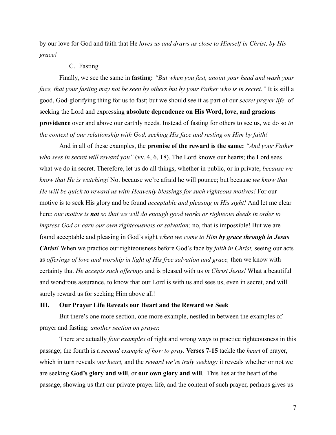by our love for God and faith that He *loves us and draws us close to Himself in Christ, by His grace!*

# C. Fasting

Finally, we see the same in **fasting:** *"But when you fast, anoint your head and wash your face, that your fasting may not be seen by others but by your Father who is in secret."* It is still a good, God-glorifying thing for us to fast; but we should see it as part of our *secret prayer life,* of seeking the Lord and expressing **absolute dependence on His Word, love, and gracious providence** over and above our earthly needs. Instead of fasting for others to see us, we do so *in the context of our relationship with God, seeking His face and resting on Him by faith!*

And in all of these examples, the **promise of the reward is the same:** *"And your Father who sees in secret will reward you"* (vv. 4, 6, 18). The Lord knows our hearts; the Lord sees what we do in secret. Therefore, let us do all things, whether in public, or in private, *because we know that He is watching!* Not because we're afraid he will pounce; but because *we know that He will be quick to reward us with Heavenly blessings for such righteous motives!* For our motive is to seek His glory and be found *acceptable and pleasing in His sight!* And let me clear here: *our motive is not so that we will do enough good works or righteous deeds in order to impress God or earn our own righteousness or salvation;* no, that is impossible! But we are found acceptable and pleasing in God's sight *when we come to Him by grace through in Jesus Christ!* When we practice our righteousness before God's face by *faith in Christ,* seeing our acts as *offerings of love and worship in light of His free salvation and grace,* then we know with certainty that *He accepts such offerings* and is pleased with us *in Christ Jesus!* What a beautiful and wondrous assurance, to know that our Lord is with us and sees us, even in secret, and will surely reward us for seeking Him above all!

# **III. Our Prayer Life Reveals our Heart and the Reward we Seek**

But there's one more section, one more example, nestled in between the examples of prayer and fasting: *another section on prayer.*

There are actually *four examples* of right and wrong ways to practice righteousness in this passage; the fourth is a *second example of how to pray.* **Verses 7-15** tackle the *heart* of prayer, which in turn reveals *our heart,* and the *reward we're truly seeking:* it reveals whether or not we are seeking **God's glory and will**, or **our own glory and will**. This lies at the heart of the passage, showing us that our private prayer life, and the content of such prayer, perhaps gives us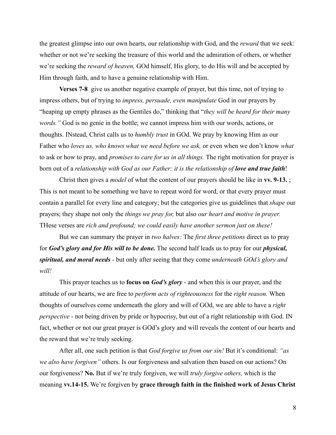the greatest glimpse into our own hearts, our relationship with God, and the *reward* that we seek: whether or not we're seeking the treasure of this world and the admiration of others, or whether we're seeking the *reward of heaven,* GOd himself, His glory, to do His will and be accepted by Him through faith, and to have a genuine relationship with Him.

**Verses 7-8** give us another negative example of prayer, but this time, not of trying to impress others, but of trying to *impress, persuade, even manipulate* God in our prayers by "heaping up empty phrases as the Gentiles do," thinking that "*they will be heard for their many words."* God is no genie in the bottle; we cannot impress him with our words, actions, or thoughts. INstead, Christ calls us to *humbly trust* in GOd. We pray by knowing Him as our Father who *loves us, who knows what we need before we ask,* or even when we don't know *what* to ask or how to pray, and *promises to care for us in all things.* The right motivation for prayer is born out of a *relationship with God as our Father; it is the relationship of love and true faith*!

Christ then gives a *model* of what the content of our prayers should be like in **vv. 9-13.** ; This is not meant to be something we have to repeat word for word, or that every prayer must contain a parallel for every line and category; but the categories give us guidelines that *shape* our prayers; they shape not only the *things we pray for,* but also *our heart and motive in prayer.* THese verses are *rich and profound; we could easily have another sermon just on these!*

But we can summary the prayer in *two halves:* The *first three petitions* direct us to pray for *God's glory and for His will to be done.* The second half leads us to pray for our *physical, spiritual, and moral needs* - but only after seeing that they come *underneath GOd's glory and will!*

This prayer teaches us to **focus on** *God's glory* - and when this is our prayer, and the attitude of our hearts, we are free to *perform acts of righteousness* for the *right reason.* When thoughts of ourselves come underneath the glory and will of GOd, we are able to have a *right perspective* - not being driven by pride or hypocrisy, but out of a right relationship with God. IN fact, whether or not our great prayer is GOd's glory and will reveals the content of our hearts and the reward that we're truly seeking.

After all, one such petition is that *God forgive us from our sin!* But it's conditional: *"as we also have forgiven"* others. Is our forgiveness and salvation then based on our actions? On our forgiveness? **No.** But if we're truly forgiven, we will *truly forgive others,* which is the meaning **vv.14-15.** We're forgiven by **grace through faith in the finished work of Jesus Christ**